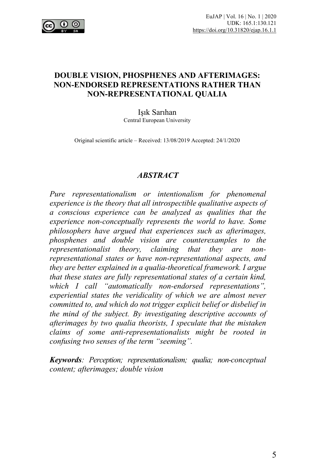

# **DOUBLE VISION, PHOSPHENES AND AFTERIMAGES: NON-ENDORSED REPRESENTATIONS RATHER THAN NON-REPRESENTATIONAL QUALIA**

Işık Sarıhan Central European University

Original scientific article – Received: 13/08/2019 Accepted: 24/1/2020

### *ABSTRACT*

*Pure representationalism or intentionalism for phenomenal experience is the theory that all introspectible qualitative aspects of a conscious experience can be analyzed as qualities that the experience non-conceptually represents the world to have. Some philosophers have argued that experiences such as afterimages, phosphenes and double vision are counterexamples to the representationalist theory, claiming that they are nonrepresentational states or have non-representational aspects, and they are better explained in a qualia-theoretical framework. I argue that these states are fully representational states of a certain kind, which I call "automatically non-endorsed representations", experiential states the veridicality of which we are almost never committed to, and which do not trigger explicit belief or disbelief in the mind of the subject. By investigating descriptive accounts of afterimages by two qualia theorists, I speculate that the mistaken claims of some anti-representationalists might be rooted in confusing two senses of the term "seeming".*

*Keywords: Perception; representationalism; qualia; non-conceptual content; afterimages; double vision*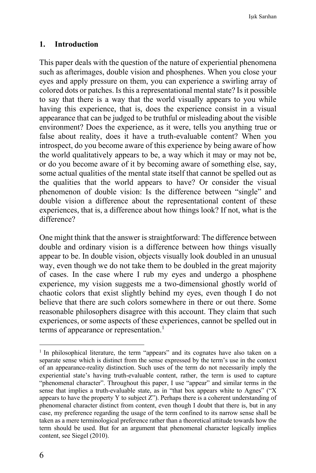### **1. Introduction**

This paper deals with the question of the nature of experiential phenomena such as afterimages, double vision and phosphenes. When you close your eyes and apply pressure on them, you can experience a swirling array of colored dots or patches. Is this a representational mental state? Is it possible to say that there is a way that the world visually appears to you while having this experience, that is, does the experience consist in a visual appearance that can be judged to be truthful or misleading about the visible environment? Does the experience, as it were, tells you anything true or false about reality, does it have a truth-evaluable content? When you introspect, do you become aware of this experience by being aware of how the world qualitatively appears to be, a way which it may or may not be, or do you become aware of it by becoming aware of something else, say, some actual qualities of the mental state itself that cannot be spelled out as the qualities that the world appears to have? Or consider the visual phenomenon of double vision: Is the difference between "single" and double vision a difference about the representational content of these experiences, that is, a difference about how things look? If not, what is the difference?

One might think that the answer is straightforward: The difference between double and ordinary vision is a difference between how things visually appear to be. In double vision, objects visually look doubled in an unusual way, even though we do not take them to be doubled in the great majority of cases. In the case where I rub my eyes and undergo a phosphene experience, my vision suggests me a two-dimensional ghostly world of chaotic colors that exist slightly behind my eyes, even though I do not believe that there are such colors somewhere in there or out there. Some reasonable philosophers disagree with this account. They claim that such experiences, or some aspects of these experiences, cannot be spelled out in terms of appearance or representation. $<sup>1</sup>$ </sup>

<sup>&</sup>lt;sup>1</sup> In philosophical literature, the term "appears" and its cognates have also taken on a separate sense which is distinct from the sense expressed by the term's use in the context of an appearance-reality distinction. Such uses of the term do not necessarily imply the experiential state's having truth-evaluable content, rather, the term is used to capture "phenomenal character". Throughout this paper, I use "appear" and similar terms in the sense that implies a truth-evaluable state, as in "that box appears white to Agnes" ("X appears to have the property Y to subject  $Z$ "). Perhaps there is a coherent understanding of phenomenal character distinct from content, even though I doubt that there is, but in any case, my preference regarding the usage of the term confined to its narrow sense shall be taken as a mere terminological preference rather than a theoretical attitude towards how the term should be used. But for an argument that phenomenal character logically implies content, see Siegel (2010).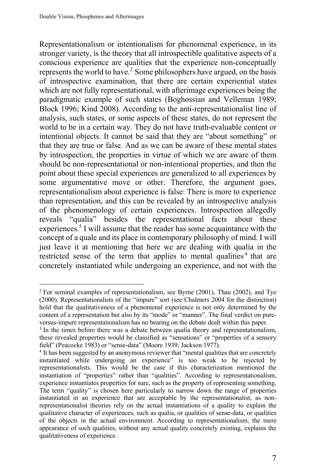Representationalism or intentionalism for phenomenal experience, in its stronger variety, is the theory that all introspectible qualitative aspects of a conscious experience are qualities that the experience non-conceptually represents the world to have.<sup>2</sup> Some philosophers have argued, on the basis of introspective examination, that there are certain experiential states which are not fully representational, with afterimage experiences being the paradigmatic example of such states (Boghossian and Velleman 1989; Block 1996; Kind 2008). According to the anti-representationalist line of analysis, such states, or some aspects of these states, do not represent the world to be in a certain way. They do not have truth-evaluable content or intentional objects. It cannot be said that they are "about something" or that they are true or false. And as we can be aware of these mental states by introspection, the properties in virtue of which we are aware of them should be non-representational or non-intentional properties, and then the point about these special experiences are generalized to all experiences by some argumentative move or other. Therefore, the argument goes, representationalism about experience is false: There is more to experience than representation, and this can be revealed by an introspective analysis of the phenomenology of certain experiences. Introspection allegedly reveals "qualia" besides the representational facts about these experiences.<sup>3</sup> I will assume that the reader has some acquaintance with the concept of a quale and its place in contemporary philosophy of mind. I will just leave it at mentioning that here we are dealing with qualia in the restricted sense of the term that applies to mental qualities<sup>4</sup> that are concretely instantiated while undergoing an experience, and not with the

<sup>2</sup> For seminal examples of representationalism, see Byrne (2001), Thau (2002), and Tye (2000). Representationalists of the "impure" sort (see Chalmers 2004 for the distinction) hold that the qualitativeness of a phenomenal experience is not only determined by the content of a representation but also by its "mode" or "manner". The final verdict on pureversus-impure representationalism has no bearing on the debate dealt within this paper.

<sup>&</sup>lt;sup>3</sup> In the times before there was a debate between qualia theory and representationalism, these revealed properties would be classified as "sensations" or "properties of a sensory field" (Peacocke 1983) or "sense-data" (Moore 1939; Jackson 1977).

<sup>4</sup> It has been suggested by an anonymous reviewer that "mental qualities that are concretely instantiated while undergoing an experience" is too weak to be rejected by representationalists. This would be the case if this characterization mentioned the instantiation of "properties" rather than "qualities". According to representationalism, experience instantiates properties for sure, such as the property of representing something. The term "quality" is chosen here particularly to narrow down the range of properties instantiated in an experience that are acceptable by the representationalist, as nonrepresentationalist theories rely on the actual instantiations of a quality to explain the qualitative character of experiences, such as qualia, or qualities of sense-data, or qualities of the objects in the actual environment. According to representationalism, the mere appearance of such qualities, without any actual quality concretely existing, explains the qualitativeness of experience.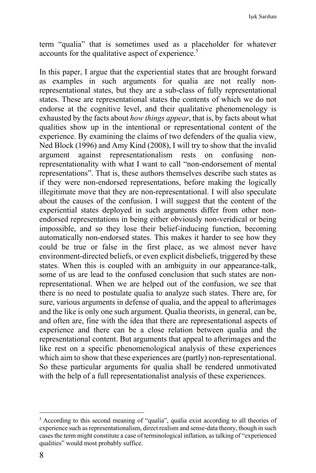term "qualia" that is sometimes used as a placeholder for whatever accounts for the qualitative aspect of experience.<sup>5</sup>

In this paper, I argue that the experiential states that are brought forward as examples in such arguments for qualia are not really nonrepresentational states, but they are a sub-class of fully representational states. These are representational states the contents of which we do not endorse at the cognitive level, and their qualitative phenomenology is exhausted by the facts about *how things appear*, that is, by facts about what qualities show up in the intentional or representational content of the experience. By examining the claims of two defenders of the qualia view, Ned Block (1996) and Amy Kind (2008), I will try to show that the invalid argument against representationalism rests on confusing nonrepresentationality with what I want to call "non-endorsement of mental representations". That is, these authors themselves describe such states as if they were non-endorsed representations, before making the logically illegitimate move that they are non-representational. I will also speculate about the causes of the confusion. I will suggest that the content of the experiential states deployed in such arguments differ from other nonendorsed representations in being either obviously non-veridical or being impossible, and so they lose their belief-inducing function, becoming automatically non-endorsed states. This makes it harder to see how they could be true or false in the first place, as we almost never have environment-directed beliefs, or even explicit disbeliefs, triggered by these states. When this is coupled with an ambiguity in our appearance-talk, some of us are lead to the confused conclusion that such states are nonrepresentational. When we are helped out of the confusion, we see that there is no need to postulate qualia to analyze such states. There are, for sure, various arguments in defense of qualia, and the appeal to afterimages and the like is only one such argument. Qualia theorists, in general, can be, and often are, fine with the idea that there are representational aspects of experience and there can be a close relation between qualia and the representational content. But arguments that appeal to afterimages and the like rest on a specific phenomenological analysis of these experiences which aim to show that these experiences are (partly) non-representational. So these particular arguments for qualia shall be rendered unmotivated with the help of a full representationalist analysis of these experiences.

<sup>&</sup>lt;sup>5</sup> According to this second meaning of "qualia", qualia exist according to all theories of experience such as representationalism, direct realism and sense-data theory, though in such cases the term might constitute a case of terminological inflation, as talking of "experienced qualities" would most probably suffice.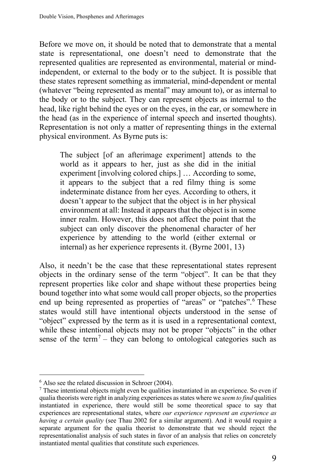Before we move on, it should be noted that to demonstrate that a mental state is representational, one doesn't need to demonstrate that the represented qualities are represented as environmental, material or mindindependent, or external to the body or to the subject. It is possible that these states represent something as immaterial, mind-dependent or mental (whatever "being represented as mental" may amount to), or as internal to the body or to the subject. They can represent objects as internal to the head, like right behind the eyes or on the eyes, in the ear, or somewhere in the head (as in the experience of internal speech and inserted thoughts). Representation is not only a matter of representing things in the external physical environment. As Byrne puts is:

The subject [of an afterimage experiment] attends to the world as it appears to her, just as she did in the initial experiment [involving colored chips.] … According to some, it appears to the subject that a red filmy thing is some indeterminate distance from her eyes. According to others, it doesn't appear to the subject that the object is in her physical environment at all: Instead it appears that the object is in some inner realm. However, this does not affect the point that the subject can only discover the phenomenal character of her experience by attending to the world (either external or internal) as her experience represents it. (Byrne 2001, 13)

Also, it needn't be the case that these representational states represent objects in the ordinary sense of the term "object". It can be that they represent properties like color and shape without these properties being bound together into what some would call proper objects, so the properties end up being represented as properties of "areas" or "patches".<sup>6</sup> These states would still have intentional objects understood in the sense of "object" expressed by the term as it is used in a representational context, while these intentional objects may not be proper "objects" in the other sense of the term<sup>7</sup> – they can belong to ontological categories such as

<sup>6</sup> Also see the related discussion in Schroer (2004).

 $\frac{7}{1}$  These intentional objects might even be qualities instantiated in an experience. So even if qualia theorists were right in analyzing experiences as states where we *seem to find* qualities instantiated in experience, there would still be some theoretical space to say that experiences are representational states, where *our experience represent an experience as having a certain quality* (see Thau 2002 for a similar argument). And it would require a separate argument for the qualia theorist to demonstrate that we should reject the representationalist analysis of such states in favor of an analysis that relies on concretely instantiated mental qualities that constitute such experiences.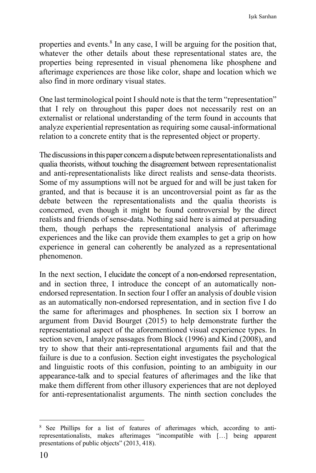properties and events.<sup>8</sup> In any case, I will be arguing for the position that, whatever the other details about these representational states are, the properties being represented in visual phenomena like phosphene and afterimage experiences are those like color, shape and location which we also find in more ordinary visual states.

One last terminological point I should note is that the term "representation" that I rely on throughout this paper does not necessarily rest on an externalist or relational understanding of the term found in accounts that analyze experiential representation as requiring some causal-informational relation to a concrete entity that is the represented object or property.

The discussions in this paper concern a dispute between representationalists and qualia theorists, without touching the disagreement between representationalist and anti-representationalists like direct realists and sense-data theorists. Some of my assumptions will not be argued for and will be just taken for granted, and that is because it is an uncontroversial point as far as the debate between the representationalists and the qualia theorists is concerned, even though it might be found controversial by the direct realists and friends of sense-data. Nothing said here is aimed at persuading them, though perhaps the representational analysis of afterimage experiences and the like can provide them examples to get a grip on how experience in general can coherently be analyzed as a representational phenomenon.

In the next section, I elucidate the concept of a non-endorsed representation, and in section three, I introduce the concept of an automatically nonendorsed representation. In section four I offer an analysis of double vision as an automatically non-endorsed representation, and in section five I do the same for afterimages and phosphenes. In section six I borrow an argument from David Bourget (2015) to help demonstrate further the representational aspect of the aforementioned visual experience types. In section seven, I analyze passages from Block (1996) and Kind (2008), and try to show that their anti-representational arguments fail and that the failure is due to a confusion. Section eight investigates the psychological and linguistic roots of this confusion, pointing to an ambiguity in our appearance-talk and to special features of afterimages and the like that make them different from other illusory experiences that are not deployed for anti-representationalist arguments. The ninth section concludes the

See Phillips for a list of features of afterimages which, according to antirepresentationalists, makes afterimages "incompatible with […] being apparent presentations of public objects" (2013, 418).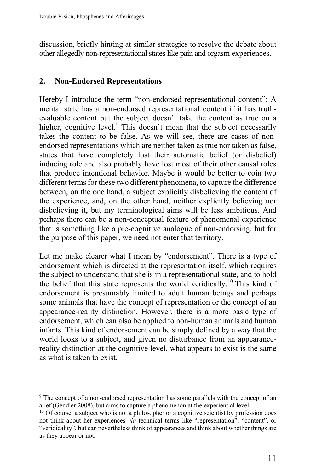discussion, briefly hinting at similar strategies to resolve the debate about other allegedly non-representational states like pain and orgasm experiences.

# **2. Non-Endorsed Representations**

Hereby I introduce the term "non-endorsed representational content": A mental state has a non-endorsed representational content if it has truthevaluable content but the subject doesn't take the content as true on a higher, cognitive level.<sup>9</sup> This doesn't mean that the subject necessarily takes the content to be false. As we will see, there are cases of nonendorsed representations which are neither taken as true nor taken as false, states that have completely lost their automatic belief (or disbelief) inducing role and also probably have lost most of their other causal roles that produce intentional behavior. Maybe it would be better to coin two different terms for these two different phenomena, to capture the difference between, on the one hand, a subject explicitly disbelieving the content of the experience, and, on the other hand, neither explicitly believing nor disbelieving it, but my terminological aims will be less ambitious. And perhaps there can be a non-conceptual feature of phenomenal experience that is something like a pre-cognitive analogue of non-endorsing, but for the purpose of this paper, we need not enter that territory.

Let me make clearer what I mean by "endorsement". There is a type of endorsement which is directed at the representation itself, which requires the subject to understand that she is in a representational state, and to hold the belief that this state represents the world veridically.<sup>10</sup> This kind of endorsement is presumably limited to adult human beings and perhaps some animals that have the concept of representation or the concept of an appearance-reality distinction. However, there is a more basic type of endorsement, which can also be applied to non-human animals and human infants. This kind of endorsement can be simply defined by a way that the world looks to a subject, and given no disturbance from an appearancereality distinction at the cognitive level, what appears to exist is the same as what is taken to exist.

<sup>9</sup> The concept of a non-endorsed representation has some parallels with the concept of an alief (Gendler 2008), but aims to capture a phenomenon at the experiential level.

<sup>&</sup>lt;sup>10</sup> Of course, a subject who is not a philosopher or a cognitive scientist by profession does not think about her experiences *via* technical terms like "representation", "content", or "veridicality", but can nevertheless think of appearances and think about whether things are as they appear or not.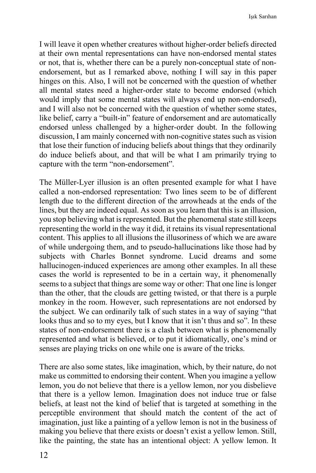I will leave it open whether creatures without higher-order beliefs directed at their own mental representations can have non-endorsed mental states or not, that is, whether there can be a purely non-conceptual state of nonendorsement, but as I remarked above, nothing I will say in this paper hinges on this. Also, I will not be concerned with the question of whether all mental states need a higher-order state to become endorsed (which would imply that some mental states will always end up non-endorsed), and I will also not be concerned with the question of whether some states, like belief, carry a "built-in" feature of endorsement and are automatically endorsed unless challenged by a higher-order doubt. In the following discussion, I am mainly concerned with non-cognitive states such as vision that lose their function of inducing beliefs about things that they ordinarily do induce beliefs about, and that will be what I am primarily trying to capture with the term "non-endorsement".

The Müller-Lyer illusion is an often presented example for what I have called a non-endorsed representation: Two lines seem to be of different length due to the different direction of the arrowheads at the ends of the lines, but they are indeed equal. As soon as you learn that this is an illusion, you stop believing what is represented. But the phenomenal state still keeps representing the world in the way it did, it retains its visual representational content. This applies to all illusions the illusoriness of which we are aware of while undergoing them, and to pseudo-hallucinations like those had by subjects with Charles Bonnet syndrome. Lucid dreams and some hallucinogen-induced experiences are among other examples. In all these cases the world is represented to be in a certain way, it phenomenally seems to a subject that things are some way or other: That one line is longer than the other, that the clouds are getting twisted, or that there is a purple monkey in the room. However, such representations are not endorsed by the subject. We can ordinarily talk of such states in a way of saying "that looks thus and so to my eyes, but I know that it isn't thus and so". In these states of non-endorsement there is a clash between what is phenomenally represented and what is believed, or to put it idiomatically, one's mind or senses are playing tricks on one while one is aware of the tricks.

There are also some states, like imagination, which, by their nature, do not make us committed to endorsing their content. When you imagine a yellow lemon, you do not believe that there is a yellow lemon, nor you disbelieve that there is a yellow lemon. Imagination does not induce true or false beliefs, at least not the kind of belief that is targeted at something in the perceptible environment that should match the content of the act of imagination, just like a painting of a yellow lemon is not in the business of making you believe that there exists or doesn't exist a yellow lemon. Still, like the painting, the state has an intentional object: A yellow lemon. It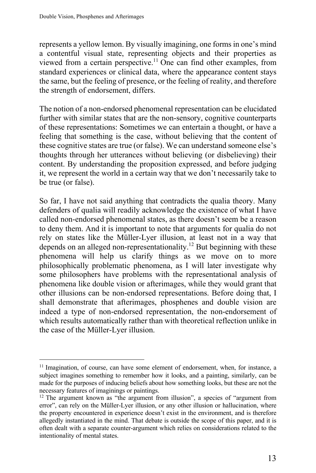represents a yellow lemon. By visually imagining, one forms in one's mind a contentful visual state, representing objects and their properties as viewed from a certain perspective.<sup>11</sup> One can find other examples, from standard experiences or clinical data, where the appearance content stays the same, but the feeling of presence, or the feeling of reality, and therefore the strength of endorsement, differs.

The notion of a non-endorsed phenomenal representation can be elucidated further with similar states that are the non-sensory, cognitive counterparts of these representations: Sometimes we can entertain a thought, or have a feeling that something is the case, without believing that the content of these cognitive states are true (or false). We can understand someone else's thoughts through her utterances without believing (or disbelieving) their content. By understanding the proposition expressed, and before judging it, we represent the world in a certain way that we don't necessarily take to be true (or false).

So far, I have not said anything that contradicts the qualia theory. Many defenders of qualia will readily acknowledge the existence of what I have called non-endorsed phenomenal states, as there doesn't seem be a reason to deny them. And it is important to note that arguments for qualia do not rely on states like the Müller-Lyer illusion, at least not in a way that depends on an alleged non-representationality.12 But beginning with these phenomena will help us clarify things as we move on to more philosophically problematic phenomena, as I will later investigate why some philosophers have problems with the representational analysis of phenomena like double vision or afterimages, while they would grant that other illusions can be non-endorsed representations. Before doing that, I shall demonstrate that afterimages, phosphenes and double vision are indeed a type of non-endorsed representation, the non-endorsement of which results automatically rather than with theoretical reflection unlike in the case of the Müller-Lyer illusion.

<sup>&</sup>lt;sup>11</sup> Imagination, of course, can have some element of endorsement, when, for instance, a subject imagines something to remember how it looks, and a painting, similarly, can be made for the purposes of inducing beliefs about how something looks, but these are not the necessary features of imaginings or paintings.

<sup>12</sup> The argument known as "the argument from illusion", a species of "argument from error", can rely on the Müller-Lyer illusion, or any other illusion or hallucination, where the property encountered in experience doesn't exist in the environment, and is therefore allegedly instantiated in the mind. That debate is outside the scope of this paper, and it is often dealt with a separate counter-argument which relies on considerations related to the intentionality of mental states.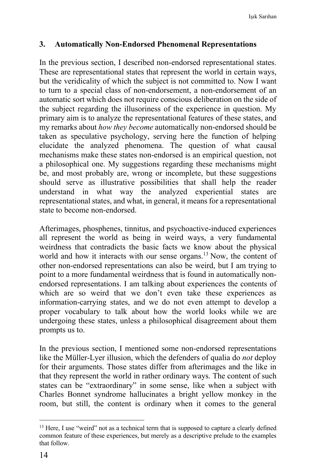## **3. Automatically Non-Endorsed Phenomenal Representations**

In the previous section, I described non-endorsed representational states. These are representational states that represent the world in certain ways, but the veridicality of which the subject is not committed to. Now I want to turn to a special class of non-endorsement, a non-endorsement of an automatic sort which does not require conscious deliberation on the side of the subject regarding the illusoriness of the experience in question. My primary aim is to analyze the representational features of these states, and my remarks about *how they become* automatically non-endorsed should be taken as speculative psychology, serving here the function of helping elucidate the analyzed phenomena. The question of what causal mechanisms make these states non-endorsed is an empirical question, not a philosophical one. My suggestions regarding these mechanisms might be, and most probably are, wrong or incomplete, but these suggestions should serve as illustrative possibilities that shall help the reader understand in what way the analyzed experiential states are representational states, and what, in general, it means for a representational state to become non-endorsed.

Afterimages, phosphenes, tinnitus, and psychoactive-induced experiences all represent the world as being in weird ways, a very fundamental weirdness that contradicts the basic facts we know about the physical world and how it interacts with our sense organs.<sup>13</sup> Now, the content of other non-endorsed representations can also be weird, but I am trying to point to a more fundamental weirdness that is found in automatically nonendorsed representations. I am talking about experiences the contents of which are so weird that we don't even take these experiences as information-carrying states, and we do not even attempt to develop a proper vocabulary to talk about how the world looks while we are undergoing these states, unless a philosophical disagreement about them prompts us to.

In the previous section, I mentioned some non-endorsed representations like the Müller-Lyer illusion, which the defenders of qualia do *not* deploy for their arguments. Those states differ from afterimages and the like in that they represent the world in rather ordinary ways. The content of such states can be "extraordinary" in some sense, like when a subject with Charles Bonnet syndrome hallucinates a bright yellow monkey in the room, but still, the content is ordinary when it comes to the general

<sup>&</sup>lt;sup>13</sup> Here, I use "weird" not as a technical term that is supposed to capture a clearly defined common feature of these experiences, but merely as a descriptive prelude to the examples that follow.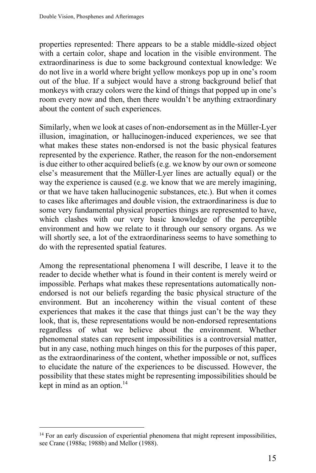properties represented: There appears to be a stable middle-sized object with a certain color, shape and location in the visible environment. The extraordinariness is due to some background contextual knowledge: We do not live in a world where bright yellow monkeys pop up in one's room out of the blue. If a subject would have a strong background belief that monkeys with crazy colors were the kind of things that popped up in one's room every now and then, then there wouldn't be anything extraordinary about the content of such experiences.

Similarly, when we look at cases of non-endorsement as in the Müller-Lyer illusion, imagination, or hallucinogen-induced experiences, we see that what makes these states non-endorsed is not the basic physical features represented by the experience. Rather, the reason for the non-endorsement is due either to other acquired beliefs (e.g. we know by our own or someone else's measurement that the Müller-Lyer lines are actually equal) or the way the experience is caused (e.g. we know that we are merely imagining, or that we have taken hallucinogenic substances, etc.). But when it comes to cases like afterimages and double vision, the extraordinariness is due to some very fundamental physical properties things are represented to have, which clashes with our very basic knowledge of the perceptible environment and how we relate to it through our sensory organs. As we will shortly see, a lot of the extraordinariness seems to have something to do with the represented spatial features.

Among the representational phenomena I will describe, I leave it to the reader to decide whether what is found in their content is merely weird or impossible. Perhaps what makes these representations automatically nonendorsed is not our beliefs regarding the basic physical structure of the environment. But an incoherency within the visual content of these experiences that makes it the case that things just can't be the way they look, that is, these representations would be non-endorsed representations regardless of what we believe about the environment. Whether phenomenal states can represent impossibilities is a controversial matter, but in any case, nothing much hinges on this for the purposes of this paper, as the extraordinariness of the content, whether impossible or not, suffices to elucidate the nature of the experiences to be discussed. However, the possibility that these states might be representing impossibilities should be kept in mind as an option. $14$ 

<sup>&</sup>lt;sup>14</sup> For an early discussion of experiential phenomena that might represent impossibilities, see Crane (1988a; 1988b) and Mellor (1988).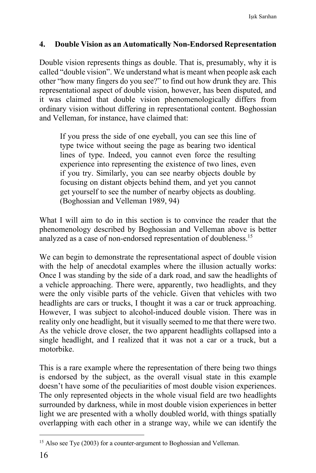# **4. Double Vision as an Automatically Non-Endorsed Representation**

Double vision represents things as double. That is, presumably, why it is called "double vision". We understand what is meant when people ask each other "how many fingers do you see?" to find out how drunk they are. This representational aspect of double vision, however, has been disputed, and it was claimed that double vision phenomenologically differs from ordinary vision without differing in representational content. Boghossian and Velleman, for instance, have claimed that:

If you press the side of one eyeball, you can see this line of type twice without seeing the page as bearing two identical lines of type. Indeed, you cannot even force the resulting experience into representing the existence of two lines, even if you try. Similarly, you can see nearby objects double by focusing on distant objects behind them, and yet you cannot get yourself to see the number of nearby objects as doubling. (Boghossian and Velleman 1989, 94)

What I will aim to do in this section is to convince the reader that the phenomenology described by Boghossian and Velleman above is better analyzed as a case of non-endorsed representation of doubleness.<sup>15</sup>

We can begin to demonstrate the representational aspect of double vision with the help of anecdotal examples where the illusion actually works: Once I was standing by the side of a dark road, and saw the headlights of a vehicle approaching. There were, apparently, two headlights, and they were the only visible parts of the vehicle. Given that vehicles with two headlights are cars or trucks, I thought it was a car or truck approaching. However, I was subject to alcohol-induced double vision. There was in reality only one headlight, but it visually seemed to me that there were two. As the vehicle drove closer, the two apparent headlights collapsed into a single headlight, and I realized that it was not a car or a truck, but a motorbike.

This is a rare example where the representation of there being two things is endorsed by the subject, as the overall visual state in this example doesn't have some of the peculiarities of most double vision experiences. The only represented objects in the whole visual field are two headlights surrounded by darkness, while in most double vision experiences in better light we are presented with a wholly doubled world, with things spatially overlapping with each other in a strange way, while we can identify the

<sup>&</sup>lt;sup>15</sup> Also see Tye (2003) for a counter-argument to Boghossian and Velleman.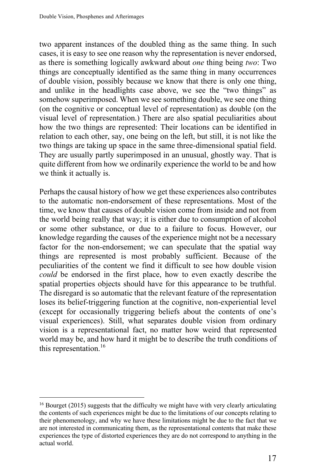two apparent instances of the doubled thing as the same thing. In such cases, it is easy to see one reason why the representation is never endorsed, as there is something logically awkward about *one* thing being *two*: Two things are conceptually identified as the same thing in many occurrences of double vision, possibly because we know that there is only one thing, and unlike in the headlights case above, we see the "two things" as somehow superimposed. When we see something double, we see one thing (on the cognitive or conceptual level of representation) as double (on the visual level of representation.) There are also spatial peculiarities about how the two things are represented: Their locations can be identified in relation to each other, say, one being on the left, but still, it is not like the two things are taking up space in the same three-dimensional spatial field. They are usually partly superimposed in an unusual, ghostly way. That is quite different from how we ordinarily experience the world to be and how we think it actually is.

Perhaps the causal history of how we get these experiences also contributes to the automatic non-endorsement of these representations. Most of the time, we know that causes of double vision come from inside and not from the world being really that way; it is either due to consumption of alcohol or some other substance, or due to a failure to focus. However, our knowledge regarding the causes of the experience might not be a necessary factor for the non-endorsement; we can speculate that the spatial way things are represented is most probably sufficient. Because of the peculiarities of the content we find it difficult to see how double vision *could* be endorsed in the first place, how to even exactly describe the spatial properties objects should have for this appearance to be truthful. The disregard is so automatic that the relevant feature of the representation loses its belief-triggering function at the cognitive, non-experiential level (except for occasionally triggering beliefs about the contents of one's visual experiences). Still, what separates double vision from ordinary vision is a representational fact, no matter how weird that represented world may be, and how hard it might be to describe the truth conditions of this representation.<sup>16</sup>

<sup>&</sup>lt;sup>16</sup> Bourget (2015) suggests that the difficulty we might have with very clearly articulating the contents of such experiences might be due to the limitations of our concepts relating to their phenomenology, and why we have these limitations might be due to the fact that we are not interested in communicating them, as the representational contents that make these experiences the type of distorted experiences they are do not correspond to anything in the actual world.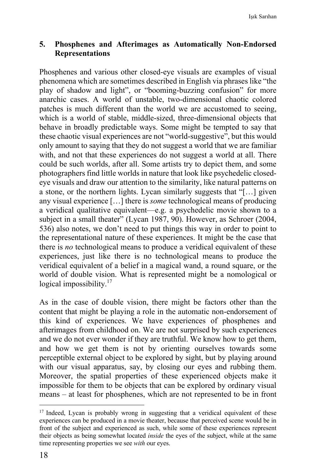## **5. Phosphenes and Afterimages as Automatically Non-Endorsed Representations**

Phosphenes and various other closed-eye visuals are examples of visual phenomena which are sometimes described in English via phrases like "the play of shadow and light", or "booming-buzzing confusion" for more anarchic cases. A world of unstable, two-dimensional chaotic colored patches is much different than the world we are accustomed to seeing, which is a world of stable, middle-sized, three-dimensional objects that behave in broadly predictable ways. Some might be tempted to say that these chaotic visual experiences are not "world-suggestive", but this would only amount to saying that they do not suggest a world that we are familiar with, and not that these experiences do not suggest a world at all. There could be such worlds, after all. Some artists try to depict them, and some photographers find little worlds in nature that look like psychedelic closedeye visuals and draw our attention to the similarity, like natural patterns on a stone, or the northern lights. Lycan similarly suggests that "[…] given any visual experience […] there is *some* technological means of producing a veridical qualitative equivalent—e.g. a psychedelic movie shown to a subject in a small theater" (Lycan 1987, 90). However, as Schroer (2004, 536) also notes, we don't need to put things this way in order to point to the representational nature of these experiences. It might be the case that there is *no* technological means to produce a veridical equivalent of these experiences, just like there is no technological means to produce the veridical equivalent of a belief in a magical wand, a round square, or the world of double vision. What is represented might be a nomological or logical impossibility. $17$ 

As in the case of double vision, there might be factors other than the content that might be playing a role in the automatic non-endorsement of this kind of experiences. We have experiences of phosphenes and afterimages from childhood on. We are not surprised by such experiences and we do not ever wonder if they are truthful. We know how to get them, and how we get them is not by orienting ourselves towards some perceptible external object to be explored by sight, but by playing around with our visual apparatus, say, by closing our eyes and rubbing them. Moreover, the spatial properties of these experienced objects make it impossible for them to be objects that can be explored by ordinary visual means – at least for phosphenes, which are not represented to be in front

<sup>&</sup>lt;sup>17</sup> Indeed, Lycan is probably wrong in suggesting that a veridical equivalent of these experiences can be produced in a movie theater, because that perceived scene would be in front of the subject and experienced as such, while some of these experiences represent their objects as being somewhat located *inside* the eyes of the subject, while at the same time representing properties we see *with* our eyes.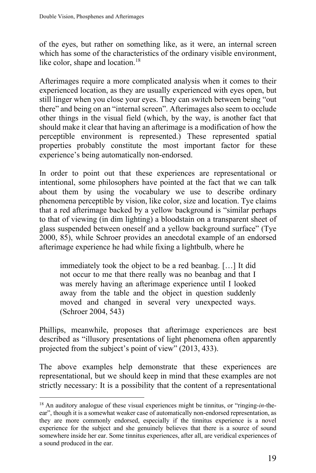of the eyes, but rather on something like, as it were, an internal screen which has some of the characteristics of the ordinary visible environment, like color, shape and location.<sup>18</sup>

Afterimages require a more complicated analysis when it comes to their experienced location, as they are usually experienced with eyes open, but still linger when you close your eyes. They can switch between being "out there" and being on an "internal screen". Afterimages also seem to occlude other things in the visual field (which, by the way, is another fact that should make it clear that having an afterimage is a modification of how the perceptible environment is represented.) These represented spatial properties probably constitute the most important factor for these experience's being automatically non-endorsed.

In order to point out that these experiences are representational or intentional, some philosophers have pointed at the fact that we can talk about them by using the vocabulary we use to describe ordinary phenomena perceptible by vision, like color, size and location. Tye claims that a red afterimage backed by a yellow background is "similar perhaps to that of viewing (in dim lighting) a bloodstain on a transparent sheet of glass suspended between oneself and a yellow background surface" (Tye 2000, 85), while Schroer provides an anecdotal example of an endorsed afterimage experience he had while fixing a lightbulb, where he

immediately took the object to be a red beanbag. […] It did not occur to me that there really was no beanbag and that I was merely having an afterimage experience until I looked away from the table and the object in question suddenly moved and changed in several very unexpected ways. (Schroer 2004, 543)

Phillips, meanwhile, proposes that afterimage experiences are best described as "illusory presentations of light phenomena often apparently projected from the subject's point of view" (2013, 433).

The above examples help demonstrate that these experiences are representational, but we should keep in mind that these examples are not strictly necessary: It is a possibility that the content of a representational

<sup>18</sup> An auditory analogue of these visual experiences might be tinnitus, or "ringing-*in*-theear", though it is a somewhat weaker case of automatically non-endorsed representation, as they are more commonly endorsed, especially if the tinnitus experience is a novel experience for the subject and she genuinely believes that there is a source of sound somewhere inside her ear. Some tinnitus experiences, after all, are veridical experiences of a sound produced in the ear.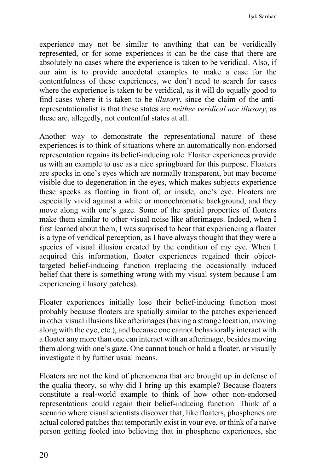Işık Sarıhan

experience may not be similar to anything that can be veridically represented, or for some experiences it can be the case that there are absolutely no cases where the experience is taken to be veridical. Also, if our aim is to provide anecdotal examples to make a case for the contentfulness of these experiences, we don't need to search for cases where the experience is taken to be veridical, as it will do equally good to find cases where it is taken to be *illusory*, since the claim of the antirepresentationalist is that these states are *neither veridical nor illusory*, as these are, allegedly, not contentful states at all.

Another way to demonstrate the representational nature of these experiences is to think of situations where an automatically non-endorsed representation regains its belief-inducing role. Floater experiences provide us with an example to use as a nice springboard for this purpose. Floaters are specks in one's eyes which are normally transparent, but may become visible due to degeneration in the eyes, which makes subjects experience these specks as floating in front of, or inside, one's eye. Floaters are especially vivid against a white or monochromatic background, and they move along with one's gaze. Some of the spatial properties of floaters make them similar to other visual noise like afterimages. Indeed, when I first learned about them, I was surprised to hear that experiencing a floater is a type of veridical perception, as I have always thought that they were a species of visual illusion created by the condition of my eye. When I acquired this information, floater experiences regained their objecttargeted belief-inducing function (replacing the occasionally induced belief that there is something wrong with my visual system because I am experiencing illusory patches).

Floater experiences initially lose their belief-inducing function most probably because floaters are spatially similar to the patches experienced in other visual illusions like afterimages (having a strange location, moving along with the eye, etc.), and because one cannot behaviorally interact with a floater any more than one can interact with an afterimage, besides moving them along with one's gaze. One cannot touch or hold a floater, or visually investigate it by further usual means.

Floaters are not the kind of phenomena that are brought up in defense of the qualia theory, so why did I bring up this example? Because floaters constitute a real-world example to think of how other non-endorsed representations could regain their belief-inducing function. Think of a scenario where visual scientists discover that, like floaters, phosphenes are actual colored patches that temporarily exist in your eye, or think of a naïve person getting fooled into believing that in phosphene experiences, she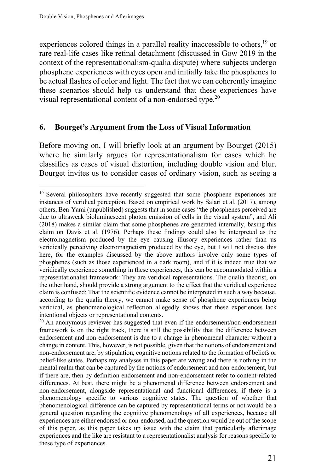experiences colored things in a parallel reality inaccessible to others,<sup>19</sup> or rare real-life cases like retinal detachment (discussed in Gow 2019 in the context of the representationalism-qualia dispute) where subjects undergo phosphene experiences with eyes open and initially take the phosphenes to be actual flashes of color and light. The fact that we can coherently imagine these scenarios should help us understand that these experiences have visual representational content of a non-endorsed type.<sup>20</sup>

#### **6. Bourget's Argument from the Loss of Visual Information**

Before moving on, I will briefly look at an argument by Bourget (2015) where he similarly argues for representationalism for cases which he classifies as cases of visual distortion, including double vision and blur. Bourget invites us to consider cases of ordinary vision, such as seeing a

<sup>&</sup>lt;sup>19</sup> Several philosophers have recently suggested that some phosphene experiences are instances of veridical perception. Based on empirical work by Salari et al. (2017), among others, Ben-Yami (unpublished) suggests that in some cases "the phosphenes perceived are due to ultraweak bioluminescent photon emission of cells in the visual system", and Ali (2018) makes a similar claim that some phosphenes are generated internally, basing this claim on Davis et al. (1976). Perhaps these findings could also be interpreted as the electromagnetism produced by the eye causing illusory experiences rather than us veridically perceiving electromagnetism produced by the eye, but I will not discuss this here, for the examples discussed by the above authors involve only some types of phosphenes (such as those experienced in a dark room), and if it is indeed true that we veridically experience something in these experiences, this can be accommodated within a representationalist framework: They are veridical representations. The qualia theorist, on the other hand, should provide a strong argument to the effect that the veridical experience claim is confused: That the scientific evidence cannot be interpreted in such a way because, according to the qualia theory, we cannot make sense of phosphene experiences being veridical, as phenomenological reflection allegedly shows that these experiences lack intentional objects or representational contents.

<sup>&</sup>lt;sup>20</sup> An anonymous reviewer has suggested that even if the endorsement/non-endorsement framework is on the right track, there is still the possibility that the difference between endorsement and non-endorsement is due to a change in phenomenal character without a change in content. This, however, is not possible, given that the notions of endorsement and non-endorsement are, by stipulation, cognitive notions related to the formation of beliefs or belief-like states. Perhaps my analyses in this paper are wrong and there is nothing in the mental realm that can be captured by the notions of endorsement and non-endorsement, but if there are, then by definition endorsement and non-endorsement refer to content-related differences. At best, there might be a phenomenal difference between endorsement and non-endorsement, alongside representational and functional differences, if there is a phenomenology specific to various cognitive states. The question of whether that phenomenological difference can be captured by representational terms or not would be a general question regarding the cognitive phenomenology of all experiences, because all experiences are either endorsed or non-endorsed, and the question would be out of the scope of this paper, as this paper takes up issue with the claim that particularly afterimage experiences and the like are resistant to a representationalist analysis for reasons specific to these type of experiences.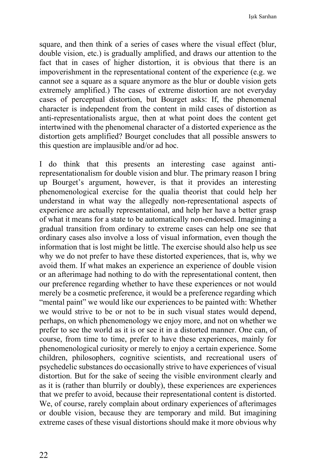square, and then think of a series of cases where the visual effect (blur, double vision, etc.) is gradually amplified, and draws our attention to the fact that in cases of higher distortion, it is obvious that there is an impoverishment in the representational content of the experience (e.g. we cannot see a square as a square anymore as the blur or double vision gets extremely amplified.) The cases of extreme distortion are not everyday cases of perceptual distortion, but Bourget asks: If, the phenomenal character is independent from the content in mild cases of distortion as anti-representationalists argue, then at what point does the content get intertwined with the phenomenal character of a distorted experience as the distortion gets amplified? Bourget concludes that all possible answers to this question are implausible and/or ad hoc.

I do think that this presents an interesting case against antirepresentationalism for double vision and blur. The primary reason I bring up Bourget's argument, however, is that it provides an interesting phenomenological exercise for the qualia theorist that could help her understand in what way the allegedly non-representational aspects of experience are actually representational, and help her have a better grasp of what it means for a state to be automatically non-endorsed. Imagining a gradual transition from ordinary to extreme cases can help one see that ordinary cases also involve a loss of visual information, even though the information that is lost might be little. The exercise should also help us see why we do not prefer to have these distorted experiences, that is, why we avoid them. If what makes an experience an experience of double vision or an afterimage had nothing to do with the representational content, then our preference regarding whether to have these experiences or not would merely be a cosmetic preference, it would be a preference regarding which "mental paint" we would like our experiences to be painted with: Whether we would strive to be or not to be in such visual states would depend, perhaps, on which phenomenology we enjoy more, and not on whether we prefer to see the world as it is or see it in a distorted manner. One can, of course, from time to time, prefer to have these experiences, mainly for phenomenological curiosity or merely to enjoy a certain experience. Some children, philosophers, cognitive scientists, and recreational users of psychedelic substances do occasionally strive to have experiences of visual distortion. But for the sake of seeing the visible environment clearly and as it is (rather than blurrily or doubly), these experiences are experiences that we prefer to avoid, because their representational content is distorted. We, of course, rarely complain about ordinary experiences of afterimages or double vision, because they are temporary and mild. But imagining extreme cases of these visual distortions should make it more obvious why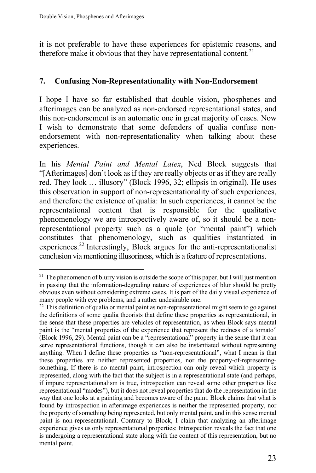it is not preferable to have these experiences for epistemic reasons, and therefore make it obvious that they have representational content.<sup>21</sup>

# **7. Confusing Non-Representationality with Non-Endorsement**

I hope I have so far established that double vision, phosphenes and afterimages can be analyzed as non-endorsed representational states, and this non-endorsement is an automatic one in great majority of cases. Now I wish to demonstrate that some defenders of qualia confuse nonendorsement with non-representationality when talking about these experiences.

In his *Mental Paint and Mental Latex*, Ned Block suggests that "[Afterimages] don't look as if they are really objects or as if they are really red. They look … illusory" (Block 1996, 32; ellipsis in original). He uses this observation in support of non-representationality of such experiences, and therefore the existence of qualia: In such experiences, it cannot be the representational content that is responsible for the qualitative phenomenology we are introspectively aware of, so it should be a nonrepresentational property such as a quale (or "mental paint") which constitutes that phenomenology, such as qualities instantiated in experiences.<sup>22</sup> Interestingly, Block argues for the anti-representationalist conclusion via mentioning illusoriness, which is a feature of representations.

<sup>&</sup>lt;sup>21</sup> The phenomenon of blurry vision is outside the scope of this paper, but I will just mention in passing that the information-degrading nature of experiences of blur should be pretty obvious even without considering extreme cases. It is part of the daily visual experience of many people with eye problems, and a rather undesirable one.

 $22$  This definition of qualia or mental paint as non-representational might seem to go against the definitions of some qualia theorists that define these properties as representational, in the sense that these properties are vehicles of representation, as when Block says mental paint is the "mental properties of the experience that represent the redness of a tomato" (Block 1996, 29). Mental paint can be a "representational" property in the sense that it can serve representational functions, though it can also be instantiated without representing anything. When I define these properties as "non-representational", what I mean is that these properties are neither represented properties, nor the property-of-representingsomething. If there is no mental paint, introspection can only reveal which property is represented, along with the fact that the subject is in a representational state (and perhaps, if impure representationalism is true, introspection can reveal some other properties like representational "modes"), but it does not reveal properties that do the representation in the way that one looks at a painting and becomes aware of the paint. Block claims that what is found by introspection in afterimage experiences is neither the represented property, nor the property of something being represented, but only mental paint, and in this sense mental paint is non-representational. Contrary to Block, I claim that analyzing an afterimage experience gives us only representational properties: Introspection reveals the fact that one is undergoing a representational state along with the content of this representation, but no mental paint.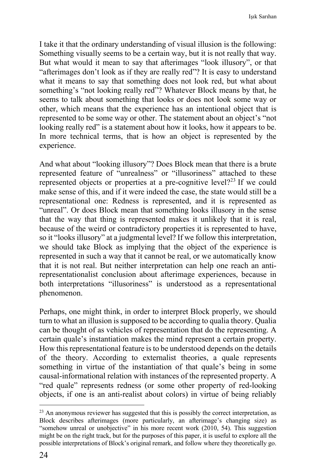I take it that the ordinary understanding of visual illusion is the following: Something visually seems to be a certain way, but it is not really that way. But what would it mean to say that afterimages "look illusory", or that "afterimages don't look as if they are really red"? It is easy to understand what it means to say that something does not look red, but what about something's "not looking really red"? Whatever Block means by that, he seems to talk about something that looks or does not look some way or other, which means that the experience has an intentional object that is represented to be some way or other. The statement about an object's "not looking really red" is a statement about how it looks, how it appears to be. In more technical terms, that is how an object is represented by the experience.

And what about "looking illusory"? Does Block mean that there is a brute represented feature of "unrealness" or "illusoriness" attached to these represented objects or properties at a pre-cognitive level?<sup>23</sup> If we could make sense of this, and if it were indeed the case, the state would still be a representational one: Redness is represented, and it is represented as "unreal". Or does Block mean that something looks illusory in the sense that the way that thing is represented makes it unlikely that it is real, because of the weird or contradictory properties it is represented to have, so it "looks illusory" at a judgmental level? If we follow this interpretation, we should take Block as implying that the object of the experience is represented in such a way that it cannot be real, or we automatically know that it is not real. But neither interpretation can help one reach an antirepresentationalist conclusion about afterimage experiences, because in both interpretations "illusoriness" is understood as a representational phenomenon.

Perhaps, one might think, in order to interpret Block properly, we should turn to what an illusion is supposed to be according to qualia theory. Qualia can be thought of as vehicles of representation that do the representing. A certain quale's instantiation makes the mind represent a certain property. How this representational feature is to be understood depends on the details of the theory. According to externalist theories, a quale represents something in virtue of the instantiation of that quale's being in some causal-informational relation with instances of the represented property. A "red quale" represents redness (or some other property of red-looking objects, if one is an anti-realist about colors) in virtue of being reliably

<sup>&</sup>lt;sup>23</sup> An anonymous reviewer has suggested that this is possibly the correct interpretation, as Block describes afterimages (more particularly, an afterimage's changing size) as "somehow unreal or unobjective" in his more recent work (2010, 54). This suggestion might be on the right track, but for the purposes of this paper, it is useful to explore all the possible interpretations of Block's original remark, and follow where they theoretically go.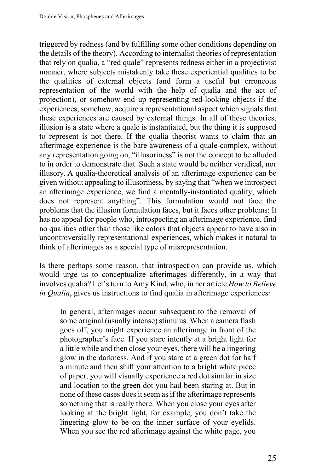triggered by redness (and by fulfilling some other conditions depending on the details of the theory). According to internalist theories of representation that rely on qualia, a "red quale" represents redness either in a projectivist manner, where subjects mistakenly take these experiential qualities to be the qualities of external objects (and form a useful but erroneous representation of the world with the help of qualia and the act of projection), or somehow end up representing red-looking objects if the experiences, somehow, acquire a representational aspect which signals that these experiences are caused by external things. In all of these theories, illusion is a state where a quale is instantiated, but the thing it is supposed to represent is not there. If the qualia theorist wants to claim that an afterimage experience is the bare awareness of a quale-complex, without any representation going on, "illusoriness" is not the concept to be alluded to in order to demonstrate that. Such a state would be neither veridical, nor illusory. A qualia-theoretical analysis of an afterimage experience can be given without appealing to illusoriness, by saying that "when we introspect an afterimage experience, we find a mentally-instantiated quality, which does not represent anything". This formulation would not face the problems that the illusion formulation faces, but it faces other problems: It has no appeal for people who, introspecting an afterimage experience, find no qualities other than those like colors that objects appear to have also in uncontroversially representational experiences, which makes it natural to think of afterimages as a special type of misrepresentation.

Is there perhaps some reason, that introspection can provide us, which would urge us to conceptualize afterimages differently, in a way that involves qualia? Let's turn to Amy Kind, who, in her article *How to Believe in Qualia*, gives us instructions to find qualia in afterimage experiences*:*

In general, afterimages occur subsequent to the removal of some original (usually intense) stimulus. When a camera flash goes off, you might experience an afterimage in front of the photographer's face. If you stare intently at a bright light for a little while and then close your eyes, there will be a lingering glow in the darkness. And if you stare at a green dot for half a minute and then shift your attention to a bright white piece of paper, you will visually experience a red dot similar in size and location to the green dot you had been staring at. But in none of these cases does it seem as if the afterimage represents something that is really there. When you close your eyes after looking at the bright light, for example, you don't take the lingering glow to be on the inner surface of your eyelids. When you see the red afterimage against the white page, you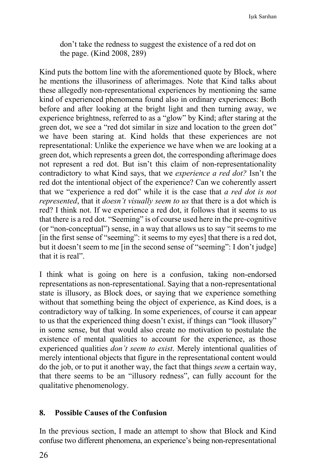don't take the redness to suggest the existence of a red dot on the page. (Kind 2008, 289)

Kind puts the bottom line with the aforementioned quote by Block, where he mentions the illusoriness of afterimages. Note that Kind talks about these allegedly non-representational experiences by mentioning the same kind of experienced phenomena found also in ordinary experiences: Both before and after looking at the bright light and then turning away, we experience brightness, referred to as a "glow" by Kind; after staring at the green dot, we see a "red dot similar in size and location to the green dot" we have been staring at. Kind holds that these experiences are not representational: Unlike the experience we have when we are looking at a green dot, which represents a green dot, the corresponding afterimage does not represent a red dot. But isn't this claim of non-representationality contradictory to what Kind says, that we *experience a red dot?* Isn't the red dot the intentional object of the experience? Can we coherently assert that we "experience a red dot" while it is the case that *a red dot is not represented*, that it *doesn't visually seem to us* that there is a dot which is red? I think not. If we experience a red dot, it follows that it seems to us that there is a red dot. "Seeming" is of course used here in the pre-cognitive (or "non-conceptual") sense, in a way that allows us to say "it seems to me [in the first sense of "seeming": it seems to my eyes] that there is a red dot, but it doesn't seem to me [in the second sense of "seeming": I don't judge] that it is real".

I think what is going on here is a confusion, taking non-endorsed representations as non-representational. Saying that a non-representational state is illusory, as Block does, or saying that we experience something without that something being the object of experience, as Kind does, is a contradictory way of talking. In some experiences, of course it can appear to us that the experienced thing doesn't exist, if things can "look illusory" in some sense, but that would also create no motivation to postulate the existence of mental qualities to account for the experience, as those experienced qualities *don't seem to exist*. Merely intentional qualities of merely intentional objects that figure in the representational content would do the job, or to put it another way, the fact that things *seem* a certain way, that there seems to be an "illusory redness", can fully account for the qualitative phenomenology.

### **8. Possible Causes of the Confusion**

In the previous section, I made an attempt to show that Block and Kind confuse two different phenomena, an experience's being non-representational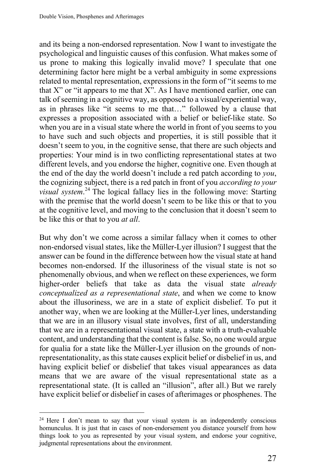and its being a non-endorsed representation. Now I want to investigate the psychological and linguistic causes of this confusion. What makes some of us prone to making this logically invalid move? I speculate that one determining factor here might be a verbal ambiguity in some expressions related to mental representation, expressions in the form of "it seems to me that X" or "it appears to me that  $X$ ". As I have mentioned earlier, one can talk of seeming in a cognitive way, as opposed to a visual/experiential way, as in phrases like "it seems to me that…" followed by a clause that expresses a proposition associated with a belief or belief-like state. So when you are in a visual state where the world in front of you seems to you to have such and such objects and properties, it is still possible that it doesn't seem to you, in the cognitive sense, that there are such objects and properties: Your mind is in two conflicting representational states at two different levels, and you endorse the higher, cognitive one. Even though at the end of the day the world doesn't include a red patch according to *you*, the cognizing subject, there is a red patch in front of you *according to your visual system*. <sup>24</sup> The logical fallacy lies in the following move: Starting with the premise that the world doesn't seem to be like this or that to you at the cognitive level, and moving to the conclusion that it doesn't seem to be like this or that to you *at all*.

But why don't we come across a similar fallacy when it comes to other non-endorsed visual states, like the Müller-Lyer illusion? I suggest that the answer can be found in the difference between how the visual state at hand becomes non-endorsed. If the illusoriness of the visual state is not so phenomenally obvious, and when we reflect on these experiences, we form higher-order beliefs that take as data the visual state *already conceptualized as a representational state*, and when we come to know about the illusoriness, we are in a state of explicit disbelief. To put it another way, when we are looking at the Müller-Lyer lines, understanding that we are in an illusory visual state involves, first of all, understanding that we are in a representational visual state, a state with a truth-evaluable content, and understanding that the content is false. So, no one would argue for qualia for a state like the Müller-Lyer illusion on the grounds of nonrepresentationality, as this state causes explicit belief or disbelief in us, and having explicit belief or disbelief that takes visual appearances as data means that we are aware of the visual representational state as a representational state. (It is called an "illusion", after all.) But we rarely have explicit belief or disbelief in cases of afterimages or phosphenes. The

 $24$  Here I don't mean to say that your visual system is an independently conscious homunculus. It is just that in cases of non-endorsement you distance yourself from how things look to you as represented by your visual system, and endorse your cognitive, judgmental representations about the environment.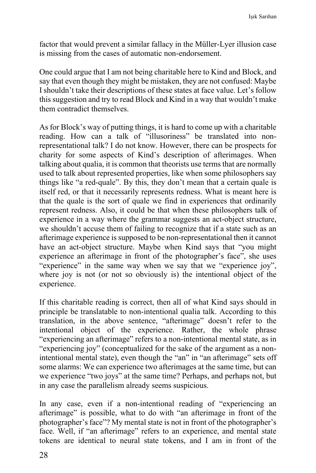factor that would prevent a similar fallacy in the Müller-Lyer illusion case is missing from the cases of automatic non-endorsement.

One could argue that I am not being charitable here to Kind and Block, and say that even though they might be mistaken, they are not confused: Maybe I shouldn't take their descriptions of these states at face value. Let's follow this suggestion and try to read Block and Kind in a way that wouldn't make them contradict themselves.

As for Block's way of putting things, it is hard to come up with a charitable reading. How can a talk of "illusoriness" be translated into nonrepresentational talk? I do not know. However, there can be prospects for charity for some aspects of Kind's description of afterimages. When talking about qualia, it is common that theorists use terms that are normally used to talk about represented properties, like when some philosophers say things like "a red-quale". By this, they don't mean that a certain quale is itself red, or that it necessarily represents redness. What is meant here is that the quale is the sort of quale we find in experiences that ordinarily represent redness. Also, it could be that when these philosophers talk of experience in a way where the grammar suggests an act-object structure, we shouldn't accuse them of failing to recognize that if a state such as an afterimage experience is supposed to be non-representational then it cannot have an act-object structure. Maybe when Kind says that "you might experience an afterimage in front of the photographer's face", she uses "experience" in the same way when we say that we "experience joy", where joy is not (or not so obviously is) the intentional object of the experience.

If this charitable reading is correct, then all of what Kind says should in principle be translatable to non-intentional qualia talk. According to this translation, in the above sentence, "afterimage" doesn't refer to the intentional object of the experience. Rather, the whole phrase "experiencing an afterimage" refers to a non-intentional mental state, as in "experiencing joy" (conceptualized for the sake of the argument as a nonintentional mental state), even though the "an" in "an afterimage" sets off some alarms: We can experience two afterimages at the same time, but can we experience "two joys" at the same time? Perhaps, and perhaps not, but in any case the parallelism already seems suspicious.

In any case, even if a non-intentional reading of "experiencing an afterimage" is possible, what to do with "an afterimage in front of the photographer's face"? My mental state is not in front of the photographer's face. Well, if "an afterimage" refers to an experience, and mental state tokens are identical to neural state tokens, and I am in front of the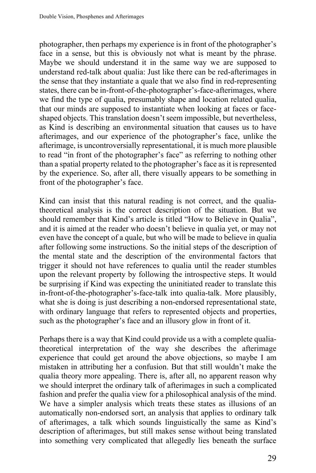photographer, then perhaps my experience is in front of the photographer's face in a sense, but this is obviously not what is meant by the phrase. Maybe we should understand it in the same way we are supposed to understand red-talk about qualia: Just like there can be red-afterimages in the sense that they instantiate a quale that we also find in red-representing states, there can be in-front-of-the-photographer's-face-afterimages, where we find the type of qualia, presumably shape and location related qualia, that our minds are supposed to instantiate when looking at faces or faceshaped objects. This translation doesn't seem impossible, but nevertheless, as Kind is describing an environmental situation that causes us to have afterimages, and our experience of the photographer's face, unlike the afterimage, is uncontroversially representational, it is much more plausible to read "in front of the photographer's face" as referring to nothing other than a spatial property related to the photographer's face as it is represented by the experience. So, after all, there visually appears to be something in front of the photographer's face.

Kind can insist that this natural reading is not correct, and the qualiatheoretical analysis is the correct description of the situation. But we should remember that Kind's article is titled "How to Believe in Qualia", and it is aimed at the reader who doesn't believe in qualia yet, or may not even have the concept of a quale, but who will be made to believe in qualia after following some instructions. So the initial steps of the description of the mental state and the description of the environmental factors that trigger it should not have references to qualia until the reader stumbles upon the relevant property by following the introspective steps. It would be surprising if Kind was expecting the uninitiated reader to translate this in-front-of-the-photographer's-face-talk into qualia-talk. More plausibly, what she is doing is just describing a non-endorsed representational state, with ordinary language that refers to represented objects and properties, such as the photographer's face and an illusory glow in front of it.

Perhaps there is a way that Kind could provide us a with a complete qualiatheoretical interpretation of the way she describes the afterimage experience that could get around the above objections, so maybe I am mistaken in attributing her a confusion. But that still wouldn't make the qualia theory more appealing. There is, after all, no apparent reason why we should interpret the ordinary talk of afterimages in such a complicated fashion and prefer the qualia view for a philosophical analysis of the mind. We have a simpler analysis which treats these states as illusions of an automatically non-endorsed sort, an analysis that applies to ordinary talk of afterimages, a talk which sounds linguistically the same as Kind's description of afterimages, but still makes sense without being translated into something very complicated that allegedly lies beneath the surface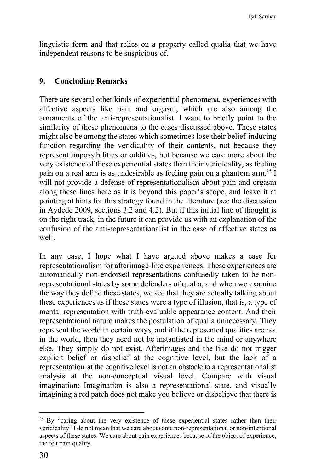linguistic form and that relies on a property called qualia that we have independent reasons to be suspicious of.

## **9. Concluding Remarks**

There are several other kinds of experiential phenomena, experiences with affective aspects like pain and orgasm, which are also among the armaments of the anti-representationalist. I want to briefly point to the similarity of these phenomena to the cases discussed above. These states might also be among the states which sometimes lose their belief-inducing function regarding the veridicality of their contents, not because they represent impossibilities or oddities, but because we care more about the very existence of these experiential states than their veridicality, as feeling pain on a real arm is as undesirable as feeling pain on a phantom arm.25 I will not provide a defense of representationalism about pain and orgasm along these lines here as it is beyond this paper's scope, and leave it at pointing at hints for this strategy found in the literature (see the discussion in Aydede 2009, sections 3.2 and 4.2). But if this initial line of thought is on the right track, in the future it can provide us with an explanation of the confusion of the anti-representationalist in the case of affective states as well.

In any case, I hope what I have argued above makes a case for representationalism for afterimage-like experiences. These experiences are automatically non-endorsed representations confusedly taken to be nonrepresentational states by some defenders of qualia, and when we examine the way they define these states, we see that they are actually talking about these experiences as if these states were a type of illusion, that is, a type of mental representation with truth-evaluable appearance content. And their representational nature makes the postulation of qualia unnecessary. They represent the world in certain ways, and if the represented qualities are not in the world, then they need not be instantiated in the mind or anywhere else. They simply do not exist. Afterimages and the like do not trigger explicit belief or disbelief at the cognitive level, but the lack of a representation at the cognitive level is not an obstacle to a representationalist analysis at the non-conceptual visual level. Compare with visual imagination: Imagination is also a representational state, and visually imagining a red patch does not make you believe or disbelieve that there is

 $25$  By "caring about the very existence of these experiential states rather than their veridicality" I do not mean that we care about some non-representational or non-intentional aspects of these states. We care about pain experiences because of the object of experience, the felt pain quality.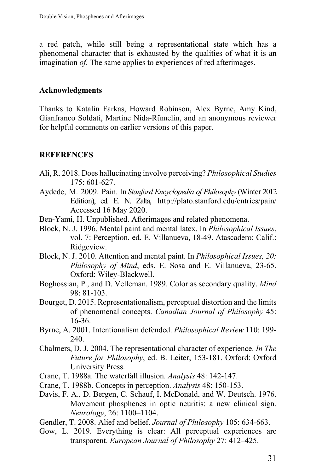a red patch, while still being a representational state which has a phenomenal character that is exhausted by the qualities of what it is an imagination *of*. The same applies to experiences of red afterimages.

### **Acknowledgments**

Thanks to Katalin Farkas, Howard Robinson, Alex Byrne, Amy Kind, Gianfranco Soldati, Martine Nida-Rümelin, and an anonymous reviewer for helpful comments on earlier versions of this paper.

# **REFERENCES**

- Ali, R. 2018. Does hallucinating involve perceiving? *Philosophical Studies* 175: 601-627.
- Aydede, M. 2009. Pain. In *Stanford Encyclopedia of Philosophy* (Winter 2012 Edition), ed. E. N. Zalta, http://plato.stanford.edu/entries/pain/ Accessed 16 May 2020.
- Ben-Yami, H. Unpublished. Afterimages and related phenomena.
- Block, N. J. 1996. Mental paint and mental latex. In *Philosophical Issues*, vol. 7: Perception, ed. E. Villanueva, 18-49. Atascadero: Calif.: Ridgeview.
- Block, N. J. 2010. Attention and mental paint. In *Philosophical Issues, 20: Philosophy of Mind*, eds. E. Sosa and E. Villanueva, 23-65. Oxford: Wiley-Blackwell.
- Boghossian, P., and D. Velleman. 1989. Color as secondary quality. *Mind* 98: 81-103.
- Bourget, D. 2015. Representationalism, perceptual distortion and the limits of phenomenal concepts. *Canadian Journal of Philosophy* 45: 16-36.
- Byrne, A. 2001. Intentionalism defended. *Philosophical Review* 110: 199- 240.
- Chalmers, D. J. 2004. The representational character of experience. *In The Future for Philosophy*, ed. B. Leiter, 153-181. Oxford: Oxford University Press.
- Crane, T. 1988a. The waterfall illusion. *Analysis* 48: 142-147.
- Crane, T. 1988b. Concepts in perception. *Analysis* 48: 150-153.
- Davis, F. A., D. Bergen, C. Schauf, I. McDonald, and W. Deutsch. 1976. Movement phosphenes in optic neuritis: a new clinical sign. *Neurology*, 26: 1100–1104.
- Gendler, T. 2008. Alief and belief. *Journal of Philosophy* 105: 634-663.
- Gow, L. 2019. Everything is clear: All perceptual experiences are transparent. *European Journal of Philosophy* 27: 412–425.